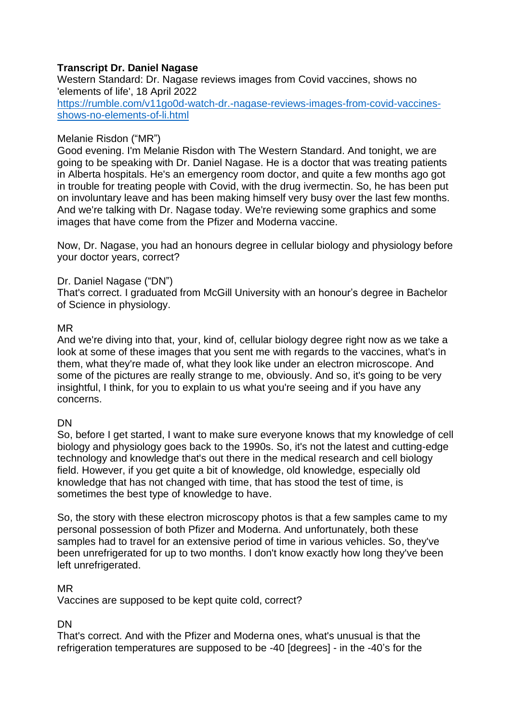## **Transcript Dr. Daniel Nagase**

Western Standard: Dr. Nagase reviews images from Covid vaccines, shows no 'elements of life', 18 April 2022 [https://rumble.com/v11go0d-watch-dr.-nagase-reviews-images-from-covid-vaccines](https://rumble.com/v11go0d-watch-dr.-nagase-reviews-images-from-covid-vaccines-shows-no-elements-of-li.html)[shows-no-elements-of-li.html](https://rumble.com/v11go0d-watch-dr.-nagase-reviews-images-from-covid-vaccines-shows-no-elements-of-li.html)

#### Melanie Risdon ("MR")

Good evening. I'm Melanie Risdon with The Western Standard. And tonight, we are going to be speaking with Dr. Daniel Nagase. He is a doctor that was treating patients in Alberta hospitals. He's an emergency room doctor, and quite a few months ago got in trouble for treating people with Covid, with the drug ivermectin. So, he has been put on involuntary leave and has been making himself very busy over the last few months. And we're talking with Dr. Nagase today. We're reviewing some graphics and some images that have come from the Pfizer and Moderna vaccine.

Now, Dr. Nagase, you had an honours degree in cellular biology and physiology before your doctor years, correct?

### Dr. Daniel Nagase ("DN")

That's correct. I graduated from McGill University with an honour's degree in Bachelor of Science in physiology.

#### MR

And we're diving into that, your, kind of, cellular biology degree right now as we take a look at some of these images that you sent me with regards to the vaccines, what's in them, what they're made of, what they look like under an electron microscope. And some of the pictures are really strange to me, obviously. And so, it's going to be very insightful, I think, for you to explain to us what you're seeing and if you have any concerns.

## **DN**

So, before I get started, I want to make sure everyone knows that my knowledge of cell biology and physiology goes back to the 1990s. So, it's not the latest and cutting-edge technology and knowledge that's out there in the medical research and cell biology field. However, if you get quite a bit of knowledge, old knowledge, especially old knowledge that has not changed with time, that has stood the test of time, is sometimes the best type of knowledge to have.

So, the story with these electron microscopy photos is that a few samples came to my personal possession of both Pfizer and Moderna. And unfortunately, both these samples had to travel for an extensive period of time in various vehicles. So, they've been unrefrigerated for up to two months. I don't know exactly how long they've been left unrefrigerated.

## MR

Vaccines are supposed to be kept quite cold, correct?

#### DN

That's correct. And with the Pfizer and Moderna ones, what's unusual is that the refrigeration temperatures are supposed to be -40 [degrees] - in the -40's for the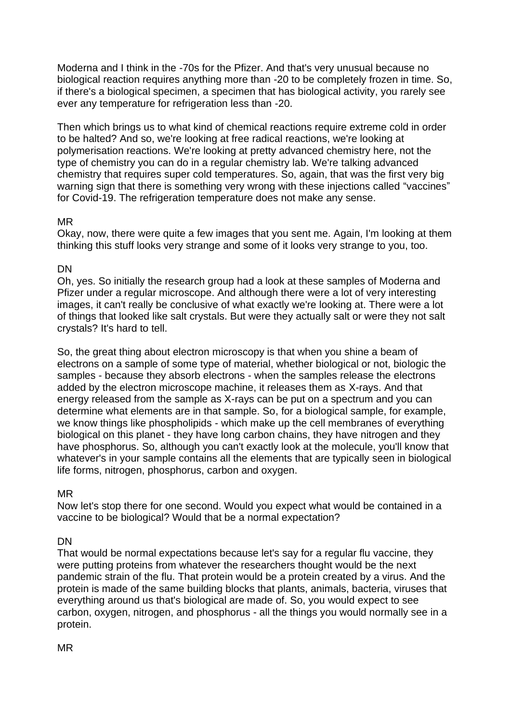Moderna and I think in the -70s for the Pfizer. And that's very unusual because no biological reaction requires anything more than -20 to be completely frozen in time. So, if there's a biological specimen, a specimen that has biological activity, you rarely see ever any temperature for refrigeration less than -20.

Then which brings us to what kind of chemical reactions require extreme cold in order to be halted? And so, we're looking at free radical reactions, we're looking at polymerisation reactions. We're looking at pretty advanced chemistry here, not the type of chemistry you can do in a regular chemistry lab. We're talking advanced chemistry that requires super cold temperatures. So, again, that was the first very big warning sign that there is something very wrong with these injections called "vaccines" for Covid-19. The refrigeration temperature does not make any sense.

### MR

Okay, now, there were quite a few images that you sent me. Again, I'm looking at them thinking this stuff looks very strange and some of it looks very strange to you, too.

## **DN**

Oh, yes. So initially the research group had a look at these samples of Moderna and Pfizer under a regular microscope. And although there were a lot of very interesting images, it can't really be conclusive of what exactly we're looking at. There were a lot of things that looked like salt crystals. But were they actually salt or were they not salt crystals? It's hard to tell.

So, the great thing about electron microscopy is that when you shine a beam of electrons on a sample of some type of material, whether biological or not, biologic the samples - because they absorb electrons - when the samples release the electrons added by the electron microscope machine, it releases them as X-rays. And that energy released from the sample as X-rays can be put on a spectrum and you can determine what elements are in that sample. So, for a biological sample, for example, we know things like phospholipids - which make up the cell membranes of everything biological on this planet - they have long carbon chains, they have nitrogen and they have phosphorus. So, although you can't exactly look at the molecule, you'll know that whatever's in your sample contains all the elements that are typically seen in biological life forms, nitrogen, phosphorus, carbon and oxygen.

#### MR

Now let's stop there for one second. Would you expect what would be contained in a vaccine to be biological? Would that be a normal expectation?

## DN

That would be normal expectations because let's say for a regular flu vaccine, they were putting proteins from whatever the researchers thought would be the next pandemic strain of the flu. That protein would be a protein created by a virus. And the protein is made of the same building blocks that plants, animals, bacteria, viruses that everything around us that's biological are made of. So, you would expect to see carbon, oxygen, nitrogen, and phosphorus - all the things you would normally see in a protein.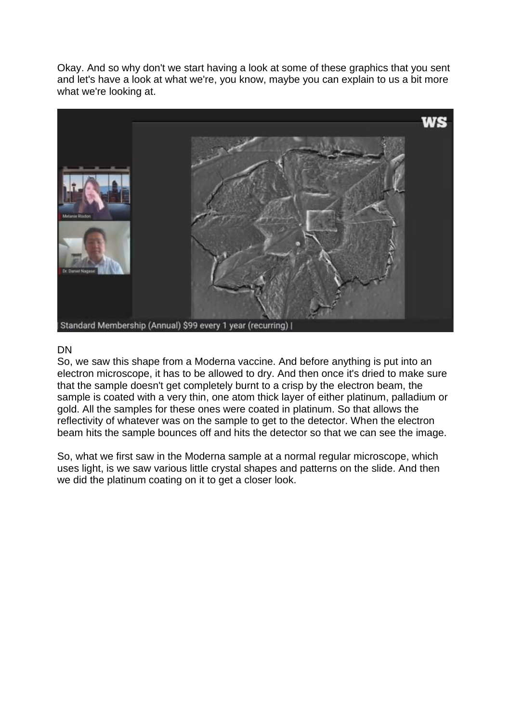Okay. And so why don't we start having a look at some of these graphics that you sent and let's have a look at what we're, you know, maybe you can explain to us a bit more what we're looking at.



#### DN

So, we saw this shape from a Moderna vaccine. And before anything is put into an electron microscope, it has to be allowed to dry. And then once it's dried to make sure that the sample doesn't get completely burnt to a crisp by the electron beam, the sample is coated with a very thin, one atom thick layer of either platinum, palladium or gold. All the samples for these ones were coated in platinum. So that allows the reflectivity of whatever was on the sample to get to the detector. When the electron beam hits the sample bounces off and hits the detector so that we can see the image.

So, what we first saw in the Moderna sample at a normal regular microscope, which uses light, is we saw various little crystal shapes and patterns on the slide. And then we did the platinum coating on it to get a closer look.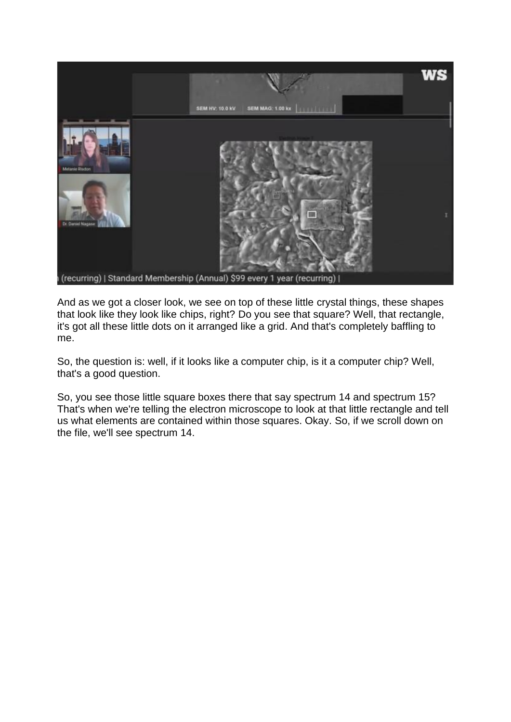

And as we got a closer look, we see on top of these little crystal things, these shapes that look like they look like chips, right? Do you see that square? Well, that rectangle, it's got all these little dots on it arranged like a grid. And that's completely baffling to me.

So, the question is: well, if it looks like a computer chip, is it a computer chip? Well, that's a good question.

So, you see those little square boxes there that say spectrum 14 and spectrum 15? That's when we're telling the electron microscope to look at that little rectangle and tell us what elements are contained within those squares. Okay. So, if we scroll down on the file, we'll see spectrum 14.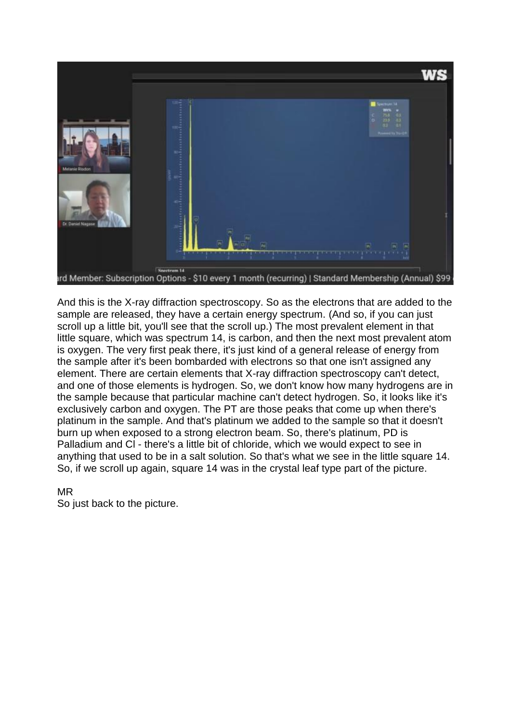

And this is the X-ray diffraction spectroscopy. So as the electrons that are added to the sample are released, they have a certain energy spectrum. (And so, if you can just scroll up a little bit, you'll see that the scroll up.) The most prevalent element in that little square, which was spectrum 14, is carbon, and then the next most prevalent atom is oxygen. The very first peak there, it's just kind of a general release of energy from the sample after it's been bombarded with electrons so that one isn't assigned any element. There are certain elements that X-ray diffraction spectroscopy can't detect, and one of those elements is hydrogen. So, we don't know how many hydrogens are in the sample because that particular machine can't detect hydrogen. So, it looks like it's exclusively carbon and oxygen. The PT are those peaks that come up when there's platinum in the sample. And that's platinum we added to the sample so that it doesn't burn up when exposed to a strong electron beam. So, there's platinum, PD is Palladium and Cl - there's a little bit of chloride, which we would expect to see in anything that used to be in a salt solution. So that's what we see in the little square 14. So, if we scroll up again, square 14 was in the crystal leaf type part of the picture.

#### MR

So just back to the picture.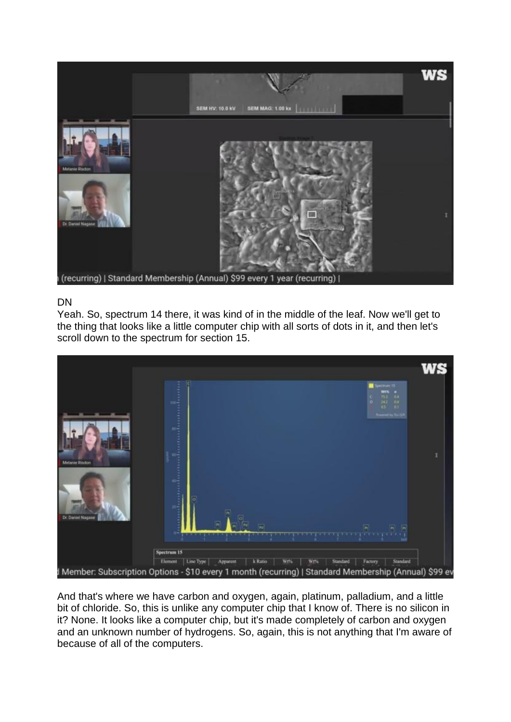

#### DN

Yeah. So, spectrum 14 there, it was kind of in the middle of the leaf. Now we'll get to the thing that looks like a little computer chip with all sorts of dots in it, and then let's scroll down to the spectrum for section 15.



And that's where we have carbon and oxygen, again, platinum, palladium, and a little bit of chloride. So, this is unlike any computer chip that I know of. There is no silicon in it? None. It looks like a computer chip, but it's made completely of carbon and oxygen and an unknown number of hydrogens. So, again, this is not anything that I'm aware of because of all of the computers.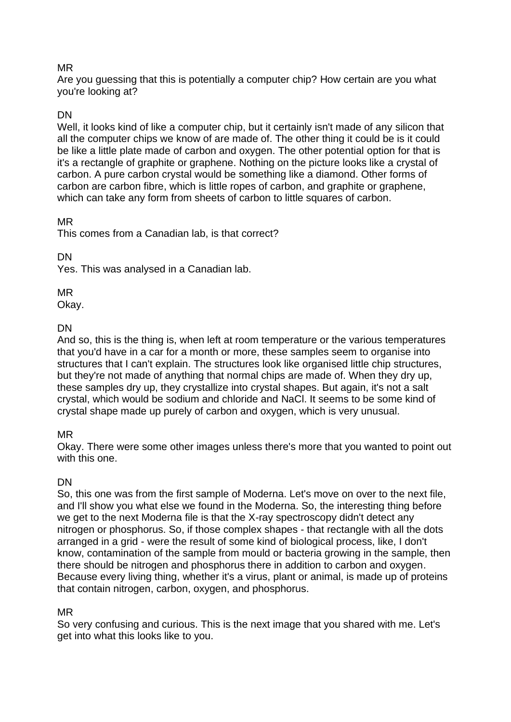## MR

Are you guessing that this is potentially a computer chip? How certain are you what you're looking at?

## DN

Well, it looks kind of like a computer chip, but it certainly isn't made of any silicon that all the computer chips we know of are made of. The other thing it could be is it could be like a little plate made of carbon and oxygen. The other potential option for that is it's a rectangle of graphite or graphene. Nothing on the picture looks like a crystal of carbon. A pure carbon crystal would be something like a diamond. Other forms of carbon are carbon fibre, which is little ropes of carbon, and graphite or graphene, which can take any form from sheets of carbon to little squares of carbon.

### MR

This comes from a Canadian lab, is that correct?

DN

Yes. This was analysed in a Canadian lab.

MR

Okay.

## **DN**

And so, this is the thing is, when left at room temperature or the various temperatures that you'd have in a car for a month or more, these samples seem to organise into structures that I can't explain. The structures look like organised little chip structures, but they're not made of anything that normal chips are made of. When they dry up, these samples dry up, they crystallize into crystal shapes. But again, it's not a salt crystal, which would be sodium and chloride and NaCl. It seems to be some kind of crystal shape made up purely of carbon and oxygen, which is very unusual.

# MR

Okay. There were some other images unless there's more that you wanted to point out with this one.

# **DN**

So, this one was from the first sample of Moderna. Let's move on over to the next file, and I'll show you what else we found in the Moderna. So, the interesting thing before we get to the next Moderna file is that the X-ray spectroscopy didn't detect any nitrogen or phosphorus. So, if those complex shapes - that rectangle with all the dots arranged in a grid - were the result of some kind of biological process, like, I don't know, contamination of the sample from mould or bacteria growing in the sample, then there should be nitrogen and phosphorus there in addition to carbon and oxygen. Because every living thing, whether it's a virus, plant or animal, is made up of proteins that contain nitrogen, carbon, oxygen, and phosphorus.

## MR

So very confusing and curious. This is the next image that you shared with me. Let's get into what this looks like to you.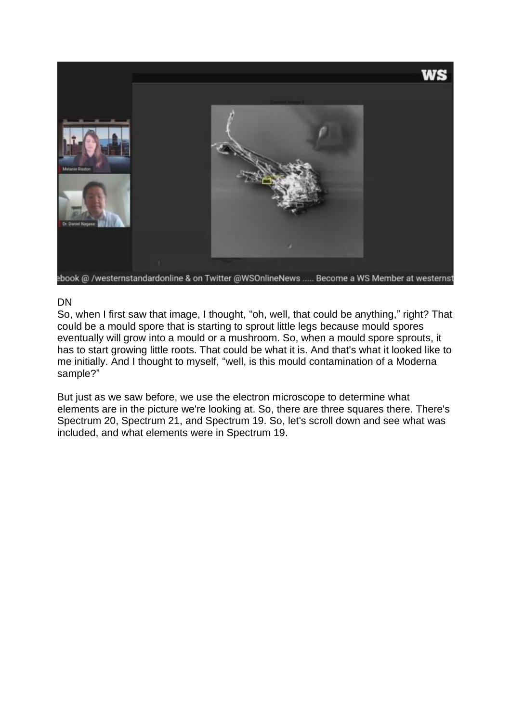

### DN

So, when I first saw that image, I thought, "oh, well, that could be anything," right? That could be a mould spore that is starting to sprout little legs because mould spores eventually will grow into a mould or a mushroom. So, when a mould spore sprouts, it has to start growing little roots. That could be what it is. And that's what it looked like to me initially. And I thought to myself, "well, is this mould contamination of a Moderna sample?"

But just as we saw before, we use the electron microscope to determine what elements are in the picture we're looking at. So, there are three squares there. There's Spectrum 20, Spectrum 21, and Spectrum 19. So, let's scroll down and see what was included, and what elements were in Spectrum 19.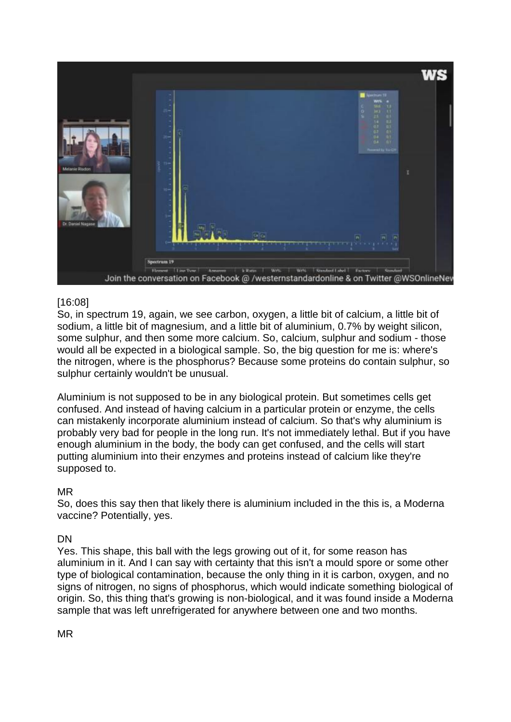

## [16:08]

So, in spectrum 19, again, we see carbon, oxygen, a little bit of calcium, a little bit of sodium, a little bit of magnesium, and a little bit of aluminium, 0.7% by weight silicon, some sulphur, and then some more calcium. So, calcium, sulphur and sodium - those would all be expected in a biological sample. So, the big question for me is: where's the nitrogen, where is the phosphorus? Because some proteins do contain sulphur, so sulphur certainly wouldn't be unusual.

Aluminium is not supposed to be in any biological protein. But sometimes cells get confused. And instead of having calcium in a particular protein or enzyme, the cells can mistakenly incorporate aluminium instead of calcium. So that's why aluminium is probably very bad for people in the long run. It's not immediately lethal. But if you have enough aluminium in the body, the body can get confused, and the cells will start putting aluminium into their enzymes and proteins instead of calcium like they're supposed to.

## MR

So, does this say then that likely there is aluminium included in the this is, a Moderna vaccine? Potentially, yes.

## DN

Yes. This shape, this ball with the legs growing out of it, for some reason has aluminium in it. And I can say with certainty that this isn't a mould spore or some other type of biological contamination, because the only thing in it is carbon, oxygen, and no signs of nitrogen, no signs of phosphorus, which would indicate something biological of origin. So, this thing that's growing is non-biological, and it was found inside a Moderna sample that was left unrefrigerated for anywhere between one and two months.

MR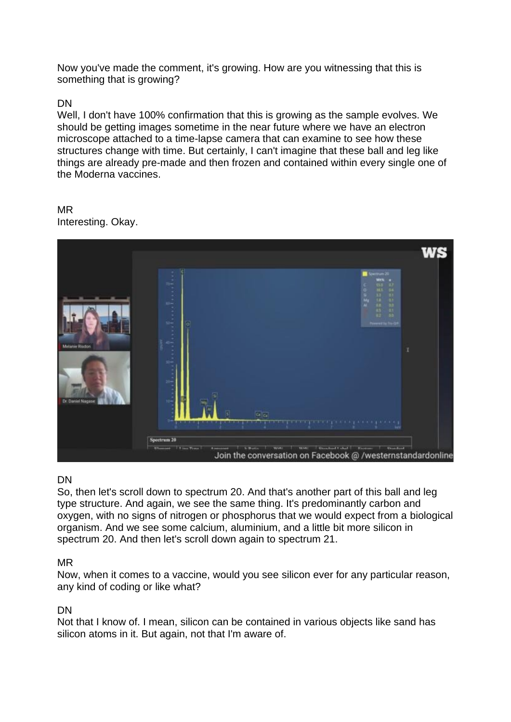Now you've made the comment, it's growing. How are you witnessing that this is something that is growing?

### DN

Well, I don't have 100% confirmation that this is growing as the sample evolves. We should be getting images sometime in the near future where we have an electron microscope attached to a time-lapse camera that can examine to see how these structures change with time. But certainly, I can't imagine that these ball and leg like things are already pre-made and then frozen and contained within every single one of the Moderna vaccines.

# MR

Interesting. Okay.



## DN

So, then let's scroll down to spectrum 20. And that's another part of this ball and leg type structure. And again, we see the same thing. It's predominantly carbon and oxygen, with no signs of nitrogen or phosphorus that we would expect from a biological organism. And we see some calcium, aluminium, and a little bit more silicon in spectrum 20. And then let's scroll down again to spectrum 21.

#### MR

Now, when it comes to a vaccine, would you see silicon ever for any particular reason, any kind of coding or like what?

#### DN

Not that I know of. I mean, silicon can be contained in various objects like sand has silicon atoms in it. But again, not that I'm aware of.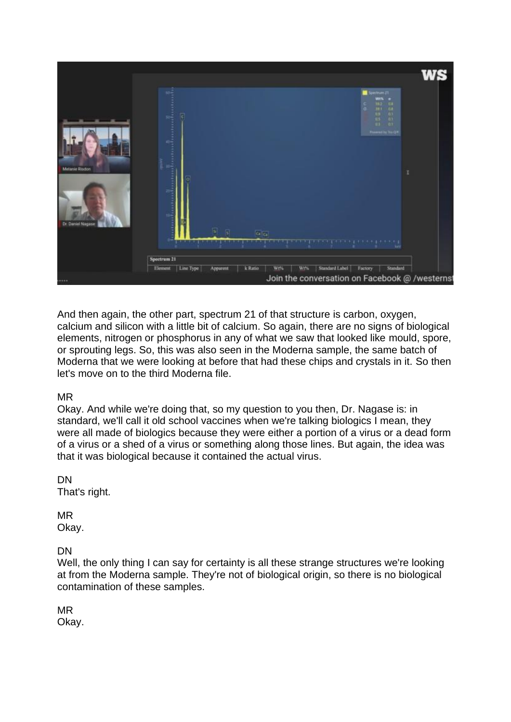

And then again, the other part, spectrum 21 of that structure is carbon, oxygen, calcium and silicon with a little bit of calcium. So again, there are no signs of biological elements, nitrogen or phosphorus in any of what we saw that looked like mould, spore, or sprouting legs. So, this was also seen in the Moderna sample, the same batch of Moderna that we were looking at before that had these chips and crystals in it. So then let's move on to the third Moderna file.

#### MR

Okay. And while we're doing that, so my question to you then, Dr. Nagase is: in standard, we'll call it old school vaccines when we're talking biologics I mean, they were all made of biologics because they were either a portion of a virus or a dead form of a virus or a shed of a virus or something along those lines. But again, the idea was that it was biological because it contained the actual virus.

#### DN

That's right.

#### MR

Okay.

DN

Well, the only thing I can say for certainty is all these strange structures we're looking at from the Moderna sample. They're not of biological origin, so there is no biological contamination of these samples.

MR Okay.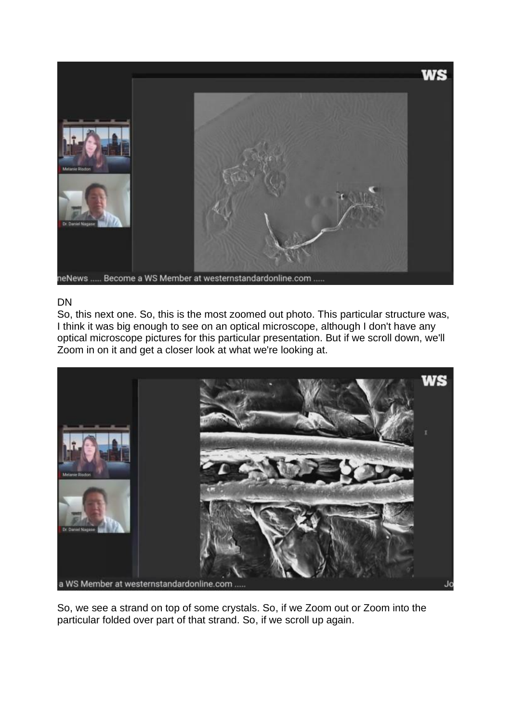

#### DN

So, this next one. So, this is the most zoomed out photo. This particular structure was, I think it was big enough to see on an optical microscope, although I don't have any optical microscope pictures for this particular presentation. But if we scroll down, we'll Zoom in on it and get a closer look at what we're looking at.



So, we see a strand on top of some crystals. So, if we Zoom out or Zoom into the particular folded over part of that strand. So, if we scroll up again.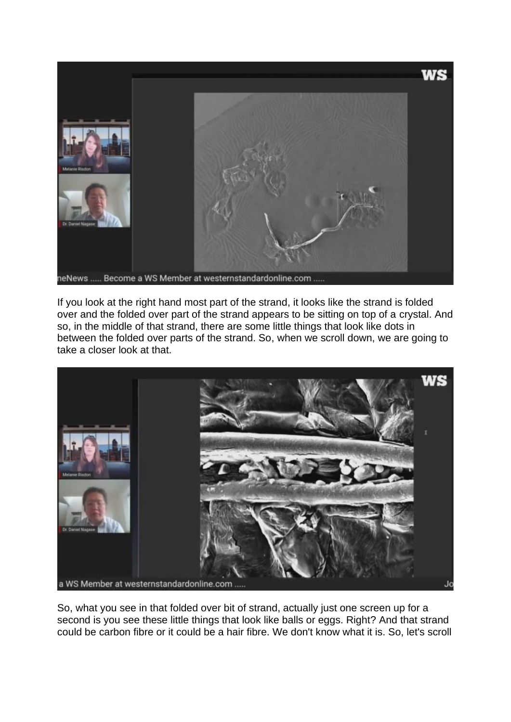

If you look at the right hand most part of the strand, it looks like the strand is folded over and the folded over part of the strand appears to be sitting on top of a crystal. And so, in the middle of that strand, there are some little things that look like dots in between the folded over parts of the strand. So, when we scroll down, we are going to take a closer look at that.



So, what you see in that folded over bit of strand, actually just one screen up for a second is you see these little things that look like balls or eggs. Right? And that strand could be carbon fibre or it could be a hair fibre. We don't know what it is. So, let's scroll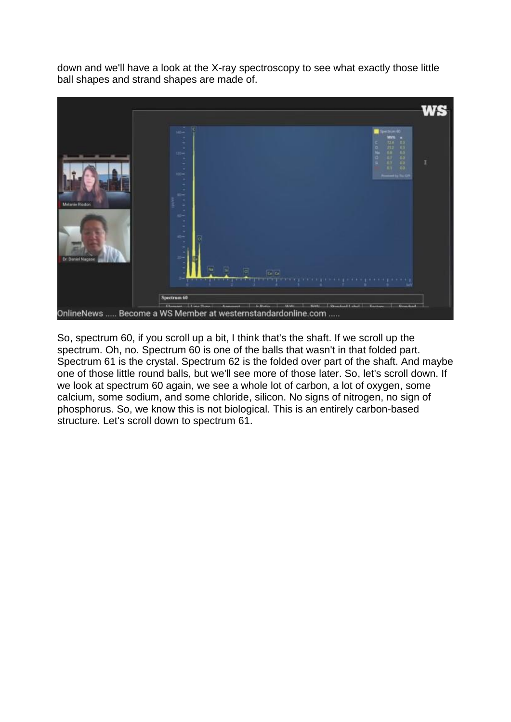down and we'll have a look at the X-ray spectroscopy to see what exactly those little ball shapes and strand shapes are made of.



So, spectrum 60, if you scroll up a bit, I think that's the shaft. If we scroll up the spectrum. Oh, no. Spectrum 60 is one of the balls that wasn't in that folded part. Spectrum 61 is the crystal. Spectrum 62 is the folded over part of the shaft. And maybe one of those little round balls, but we'll see more of those later. So, let's scroll down. If we look at spectrum 60 again, we see a whole lot of carbon, a lot of oxygen, some calcium, some sodium, and some chloride, silicon. No signs of nitrogen, no sign of phosphorus. So, we know this is not biological. This is an entirely carbon-based structure. Let's scroll down to spectrum 61.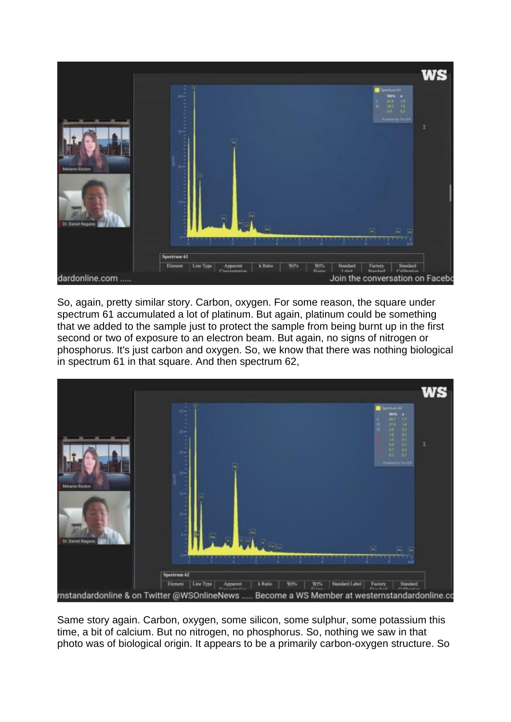

So, again, pretty similar story. Carbon, oxygen. For some reason, the square under spectrum 61 accumulated a lot of platinum. But again, platinum could be something that we added to the sample just to protect the sample from being burnt up in the first second or two of exposure to an electron beam. But again, no signs of nitrogen or phosphorus. It's just carbon and oxygen. So, we know that there was nothing biological in spectrum 61 in that square. And then spectrum 62,



Same story again. Carbon, oxygen, some silicon, some sulphur, some potassium this time, a bit of calcium. But no nitrogen, no phosphorus. So, nothing we saw in that photo was of biological origin. It appears to be a primarily carbon-oxygen structure. So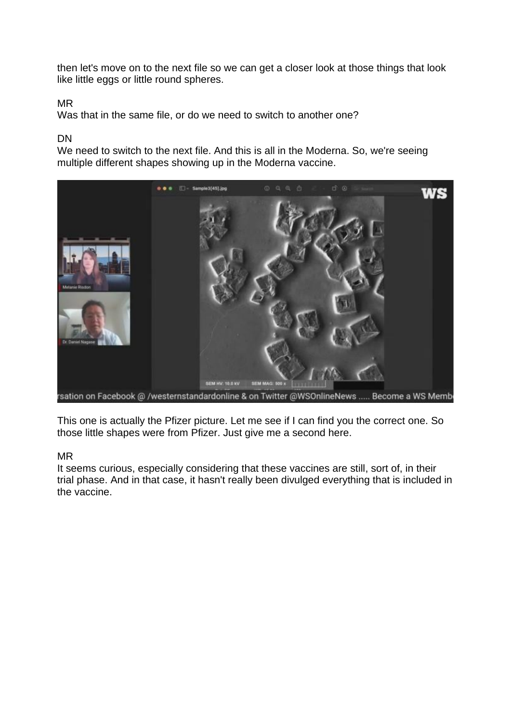then let's move on to the next file so we can get a closer look at those things that look like little eggs or little round spheres.

## MR

Was that in the same file, or do we need to switch to another one?

#### DN

We need to switch to the next file. And this is all in the Moderna. So, we're seeing multiple different shapes showing up in the Moderna vaccine.



This one is actually the Pfizer picture. Let me see if I can find you the correct one. So those little shapes were from Pfizer. Just give me a second here.

#### MR

It seems curious, especially considering that these vaccines are still, sort of, in their trial phase. And in that case, it hasn't really been divulged everything that is included in the vaccine.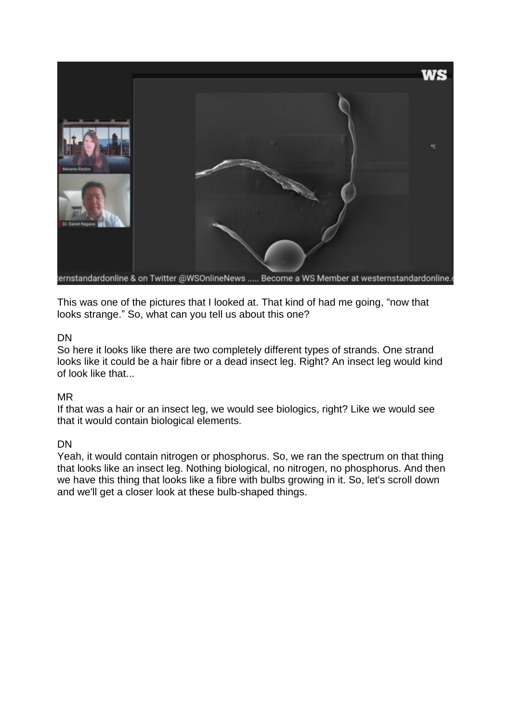

This was one of the pictures that I looked at. That kind of had me going, "now that looks strange." So, what can you tell us about this one?

#### DN

So here it looks like there are two completely different types of strands. One strand looks like it could be a hair fibre or a dead insect leg. Right? An insect leg would kind of look like that...

## MR

If that was a hair or an insect leg, we would see biologics, right? Like we would see that it would contain biological elements.

## DN

Yeah, it would contain nitrogen or phosphorus. So, we ran the spectrum on that thing that looks like an insect leg. Nothing biological, no nitrogen, no phosphorus. And then we have this thing that looks like a fibre with bulbs growing in it. So, let's scroll down and we'll get a closer look at these bulb-shaped things.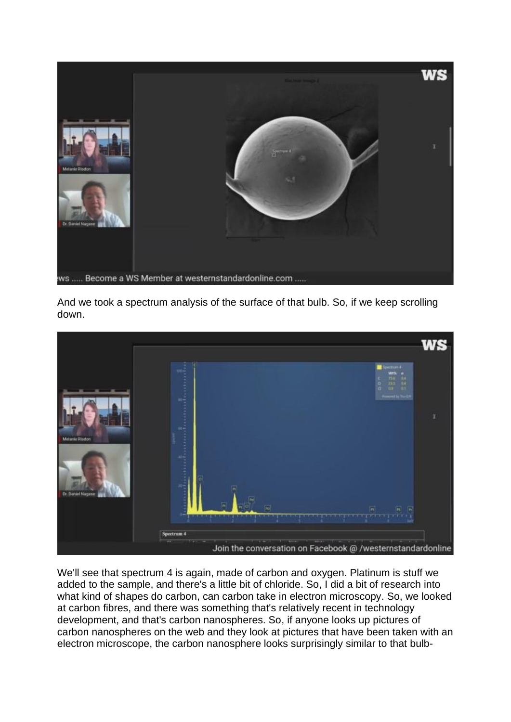

And we took a spectrum analysis of the surface of that bulb. So, if we keep scrolling down.



We'll see that spectrum 4 is again, made of carbon and oxygen. Platinum is stuff we added to the sample, and there's a little bit of chloride. So, I did a bit of research into what kind of shapes do carbon, can carbon take in electron microscopy. So, we looked at carbon fibres, and there was something that's relatively recent in technology development, and that's carbon nanospheres. So, if anyone looks up pictures of carbon nanospheres on the web and they look at pictures that have been taken with an electron microscope, the carbon nanosphere looks surprisingly similar to that bulb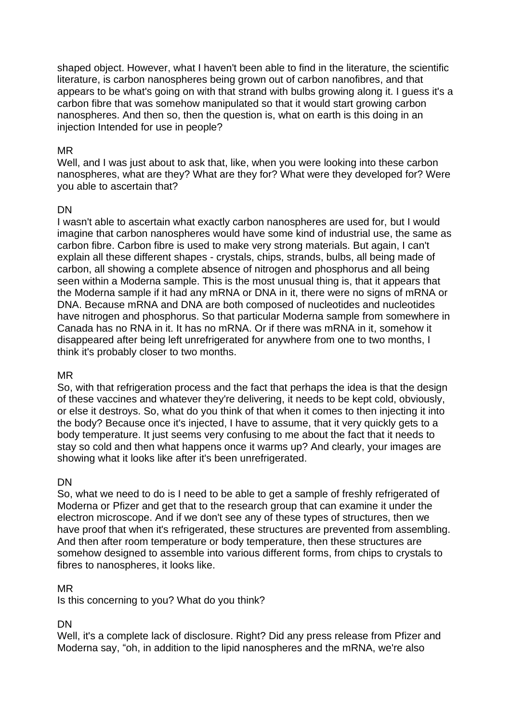shaped object. However, what I haven't been able to find in the literature, the scientific literature, is carbon nanospheres being grown out of carbon nanofibres, and that appears to be what's going on with that strand with bulbs growing along it. I guess it's a carbon fibre that was somehow manipulated so that it would start growing carbon nanospheres. And then so, then the question is, what on earth is this doing in an injection Intended for use in people?

## MR

Well, and I was just about to ask that, like, when you were looking into these carbon nanospheres, what are they? What are they for? What were they developed for? Were you able to ascertain that?

### DN

I wasn't able to ascertain what exactly carbon nanospheres are used for, but I would imagine that carbon nanospheres would have some kind of industrial use, the same as carbon fibre. Carbon fibre is used to make very strong materials. But again, I can't explain all these different shapes - crystals, chips, strands, bulbs, all being made of carbon, all showing a complete absence of nitrogen and phosphorus and all being seen within a Moderna sample. This is the most unusual thing is, that it appears that the Moderna sample if it had any mRNA or DNA in it, there were no signs of mRNA or DNA. Because mRNA and DNA are both composed of nucleotides and nucleotides have nitrogen and phosphorus. So that particular Moderna sample from somewhere in Canada has no RNA in it. It has no mRNA. Or if there was mRNA in it, somehow it disappeared after being left unrefrigerated for anywhere from one to two months, I think it's probably closer to two months.

#### MR

So, with that refrigeration process and the fact that perhaps the idea is that the design of these vaccines and whatever they're delivering, it needs to be kept cold, obviously, or else it destroys. So, what do you think of that when it comes to then injecting it into the body? Because once it's injected, I have to assume, that it very quickly gets to a body temperature. It just seems very confusing to me about the fact that it needs to stay so cold and then what happens once it warms up? And clearly, your images are showing what it looks like after it's been unrefrigerated.

#### **DN**

So, what we need to do is I need to be able to get a sample of freshly refrigerated of Moderna or Pfizer and get that to the research group that can examine it under the electron microscope. And if we don't see any of these types of structures, then we have proof that when it's refrigerated, these structures are prevented from assembling. And then after room temperature or body temperature, then these structures are somehow designed to assemble into various different forms, from chips to crystals to fibres to nanospheres, it looks like.

## MR

Is this concerning to you? What do you think?

## DN

Well, it's a complete lack of disclosure. Right? Did any press release from Pfizer and Moderna say, "oh, in addition to the lipid nanospheres and the mRNA, we're also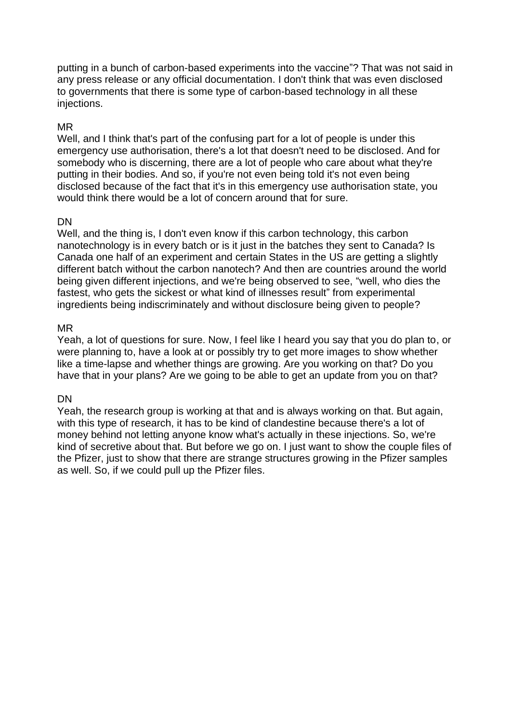putting in a bunch of carbon-based experiments into the vaccine"? That was not said in any press release or any official documentation. I don't think that was even disclosed to governments that there is some type of carbon-based technology in all these injections.

## MR

Well, and I think that's part of the confusing part for a lot of people is under this emergency use authorisation, there's a lot that doesn't need to be disclosed. And for somebody who is discerning, there are a lot of people who care about what they're putting in their bodies. And so, if you're not even being told it's not even being disclosed because of the fact that it's in this emergency use authorisation state, you would think there would be a lot of concern around that for sure.

### DN

Well, and the thing is, I don't even know if this carbon technology, this carbon nanotechnology is in every batch or is it just in the batches they sent to Canada? Is Canada one half of an experiment and certain States in the US are getting a slightly different batch without the carbon nanotech? And then are countries around the world being given different injections, and we're being observed to see, "well, who dies the fastest, who gets the sickest or what kind of illnesses result" from experimental ingredients being indiscriminately and without disclosure being given to people?

#### MR

Yeah, a lot of questions for sure. Now, I feel like I heard you say that you do plan to, or were planning to, have a look at or possibly try to get more images to show whether like a time-lapse and whether things are growing. Are you working on that? Do you have that in your plans? Are we going to be able to get an update from you on that?

## DN

Yeah, the research group is working at that and is always working on that. But again, with this type of research, it has to be kind of clandestine because there's a lot of money behind not letting anyone know what's actually in these injections. So, we're kind of secretive about that. But before we go on. I just want to show the couple files of the Pfizer, just to show that there are strange structures growing in the Pfizer samples as well. So, if we could pull up the Pfizer files.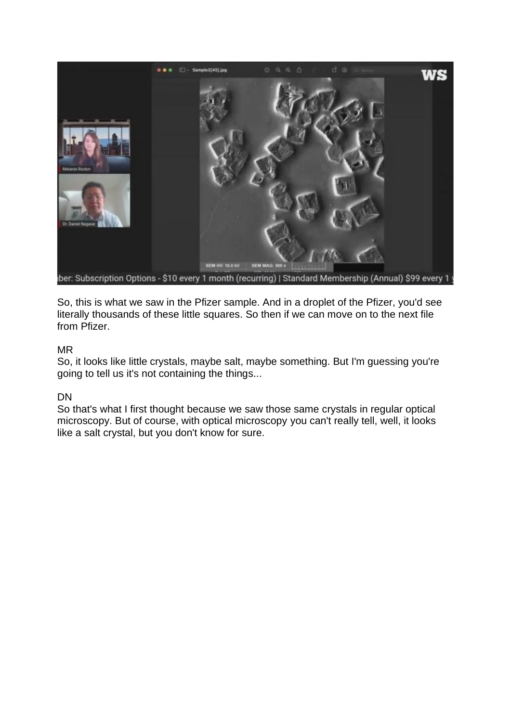

So, this is what we saw in the Pfizer sample. And in a droplet of the Pfizer, you'd see literally thousands of these little squares. So then if we can move on to the next file from Pfizer.

#### MR

So, it looks like little crystals, maybe salt, maybe something. But I'm guessing you're going to tell us it's not containing the things...

## DN

So that's what I first thought because we saw those same crystals in regular optical microscopy. But of course, with optical microscopy you can't really tell, well, it looks like a salt crystal, but you don't know for sure.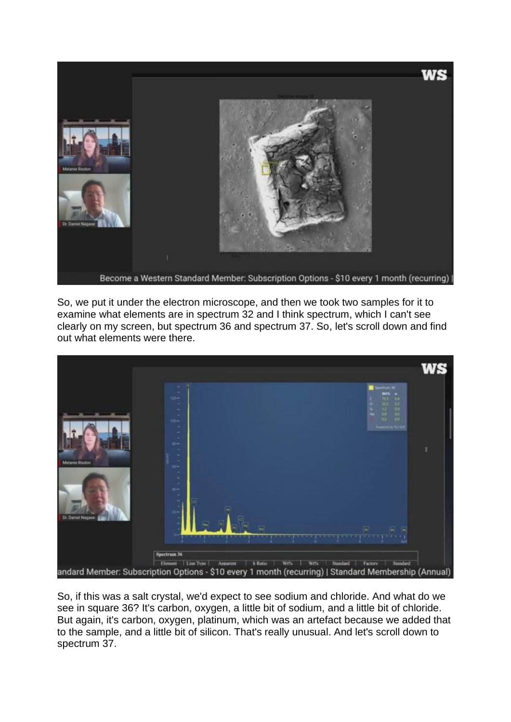

So, we put it under the electron microscope, and then we took two samples for it to examine what elements are in spectrum 32 and I think spectrum, which I can't see clearly on my screen, but spectrum 36 and spectrum 37. So, let's scroll down and find out what elements were there.



So, if this was a salt crystal, we'd expect to see sodium and chloride. And what do we see in square 36? It's carbon, oxygen, a little bit of sodium, and a little bit of chloride. But again, it's carbon, oxygen, platinum, which was an artefact because we added that to the sample, and a little bit of silicon. That's really unusual. And let's scroll down to spectrum 37.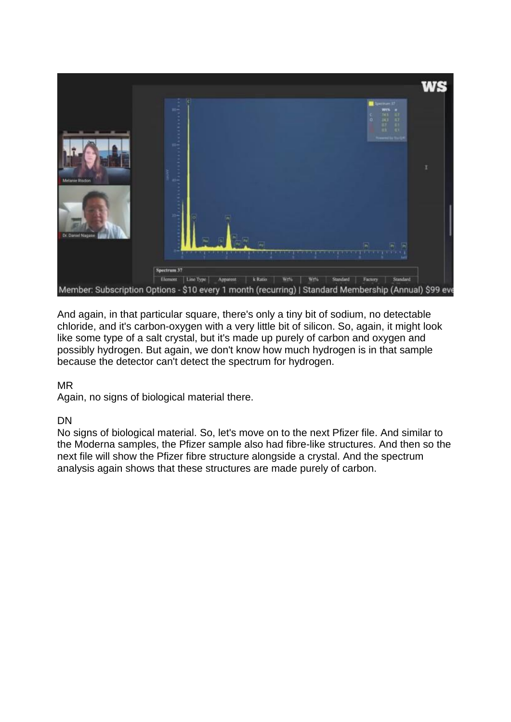

And again, in that particular square, there's only a tiny bit of sodium, no detectable chloride, and it's carbon-oxygen with a very little bit of silicon. So, again, it might look like some type of a salt crystal, but it's made up purely of carbon and oxygen and possibly hydrogen. But again, we don't know how much hydrogen is in that sample because the detector can't detect the spectrum for hydrogen.

## MR

Again, no signs of biological material there.

## DN

No signs of biological material. So, let's move on to the next Pfizer file. And similar to the Moderna samples, the Pfizer sample also had fibre-like structures. And then so the next file will show the Pfizer fibre structure alongside a crystal. And the spectrum analysis again shows that these structures are made purely of carbon.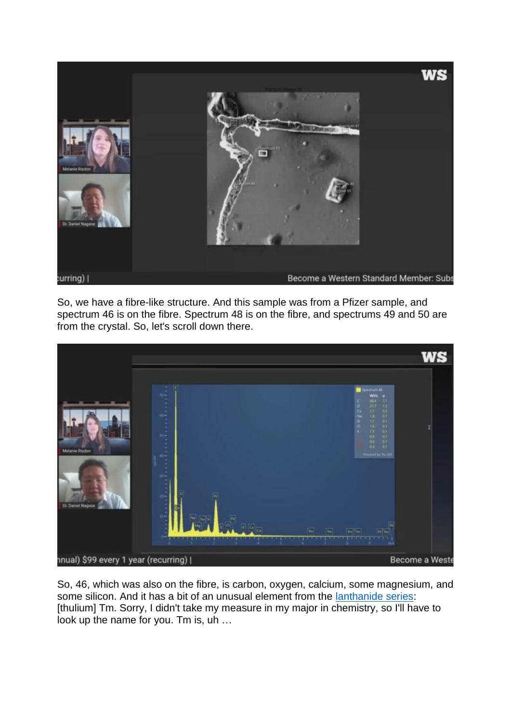

So, we have a fibre-like structure. And this sample was from a Pfizer sample, and spectrum 46 is on the fibre. Spectrum 48 is on the fibre, and spectrums 49 and 50 are from the crystal. So, let's scroll down there.



So, 46, which was also on the fibre, is carbon, oxygen, calcium, some magnesium, and some silicon. And it has a bit of an unusual element from the [lanthanide series:](https://www.encyclopedia.com/science-and-technology/chemistry/compounds-and-elements/lanthanide-series) [thulium] Tm. Sorry, I didn't take my measure in my major in chemistry, so I'll have to look up the name for you. Tm is, uh …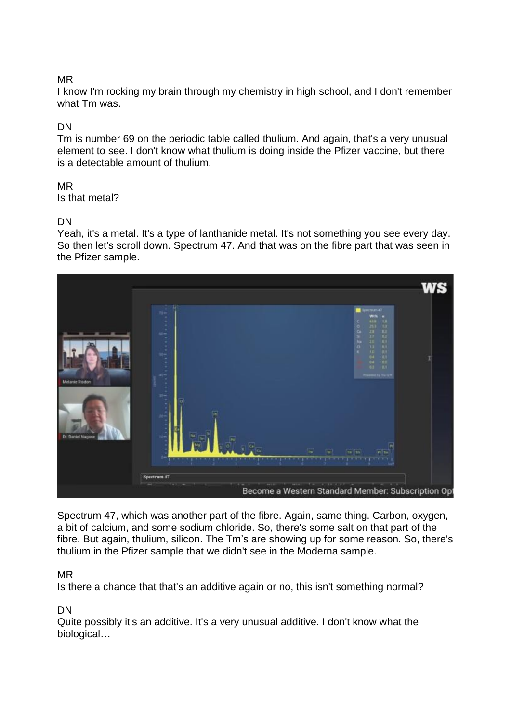## MR

I know I'm rocking my brain through my chemistry in high school, and I don't remember what Tm was.

## DN

Tm is number 69 on the periodic table called thulium. And again, that's a very unusual element to see. I don't know what thulium is doing inside the Pfizer vaccine, but there is a detectable amount of thulium.

# MR

Is that metal?

## DN

Yeah, it's a metal. It's a type of lanthanide metal. It's not something you see every day. So then let's scroll down. Spectrum 47. And that was on the fibre part that was seen in the Pfizer sample.



Spectrum 47, which was another part of the fibre. Again, same thing. Carbon, oxygen, a bit of calcium, and some sodium chloride. So, there's some salt on that part of the fibre. But again, thulium, silicon. The Tm's are showing up for some reason. So, there's thulium in the Pfizer sample that we didn't see in the Moderna sample.

## MR

Is there a chance that that's an additive again or no, this isn't something normal?

#### DN

Quite possibly it's an additive. It's a very unusual additive. I don't know what the biological…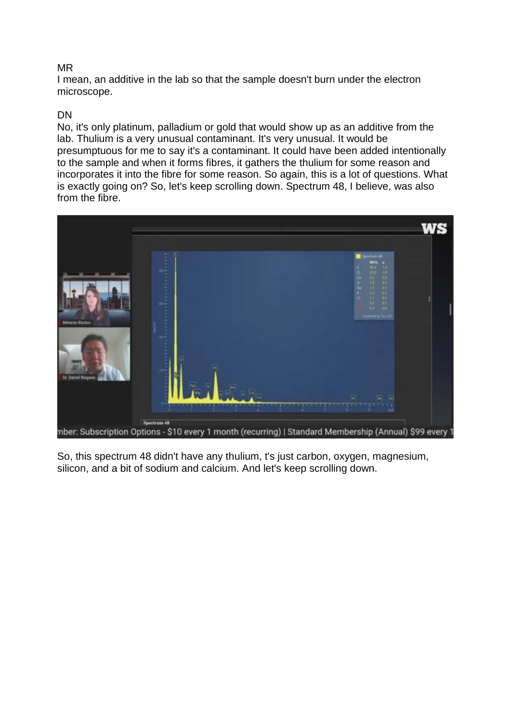#### MR

I mean, an additive in the lab so that the sample doesn't burn under the electron microscope.

### DN

No, it's only platinum, palladium or gold that would show up as an additive from the lab. Thulium is a very unusual contaminant. It's very unusual. It would be presumptuous for me to say it's a contaminant. It could have been added intentionally to the sample and when it forms fibres, it gathers the thulium for some reason and incorporates it into the fibre for some reason. So again, this is a lot of questions. What is exactly going on? So, let's keep scrolling down. Spectrum 48, I believe, was also from the fibre.



So, this spectrum 48 didn't have any thulium, t's just carbon, oxygen, magnesium, silicon, and a bit of sodium and calcium. And let's keep scrolling down.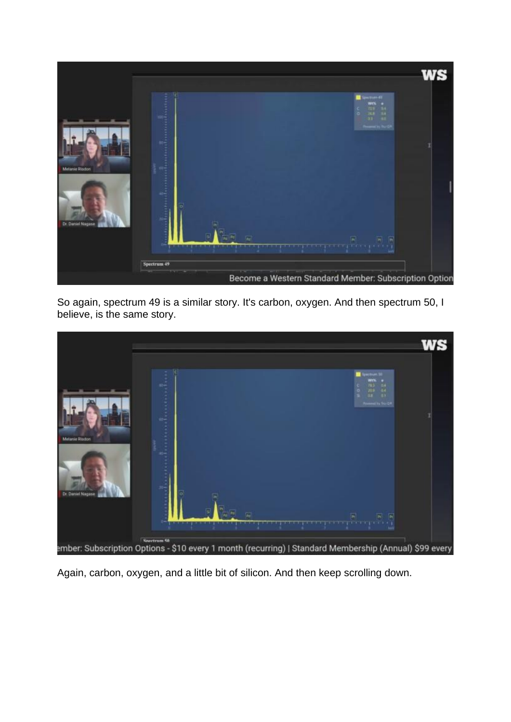

So again, spectrum 49 is a similar story. It's carbon, oxygen. And then spectrum 50, I believe, is the same story.



Again, carbon, oxygen, and a little bit of silicon. And then keep scrolling down.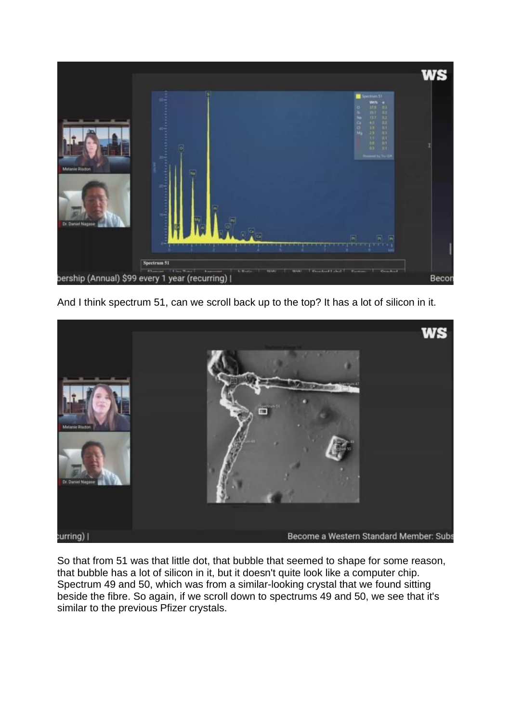

And I think spectrum 51, can we scroll back up to the top? It has a lot of silicon in it.



So that from 51 was that little dot, that bubble that seemed to shape for some reason, that bubble has a lot of silicon in it, but it doesn't quite look like a computer chip. Spectrum 49 and 50, which was from a similar-looking crystal that we found sitting beside the fibre. So again, if we scroll down to spectrums 49 and 50, we see that it's similar to the previous Pfizer crystals.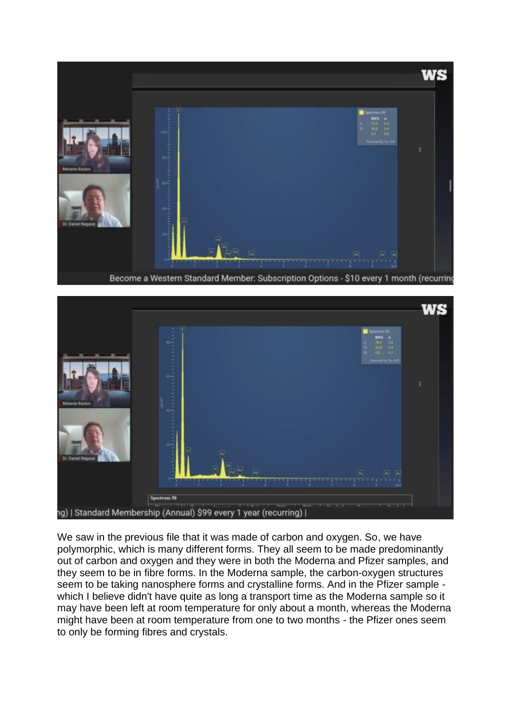

Become a Western Standard Member: Subscription Options - \$10 every 1 month (recurring



We saw in the previous file that it was made of carbon and oxygen. So, we have polymorphic, which is many different forms. They all seem to be made predominantly out of carbon and oxygen and they were in both the Moderna and Pfizer samples, and they seem to be in fibre forms. In the Moderna sample, the carbon-oxygen structures seem to be taking nanosphere forms and crystalline forms. And in the Pfizer sample which I believe didn't have quite as long a transport time as the Moderna sample so it may have been left at room temperature for only about a month, whereas the Moderna might have been at room temperature from one to two months - the Pfizer ones seem to only be forming fibres and crystals.